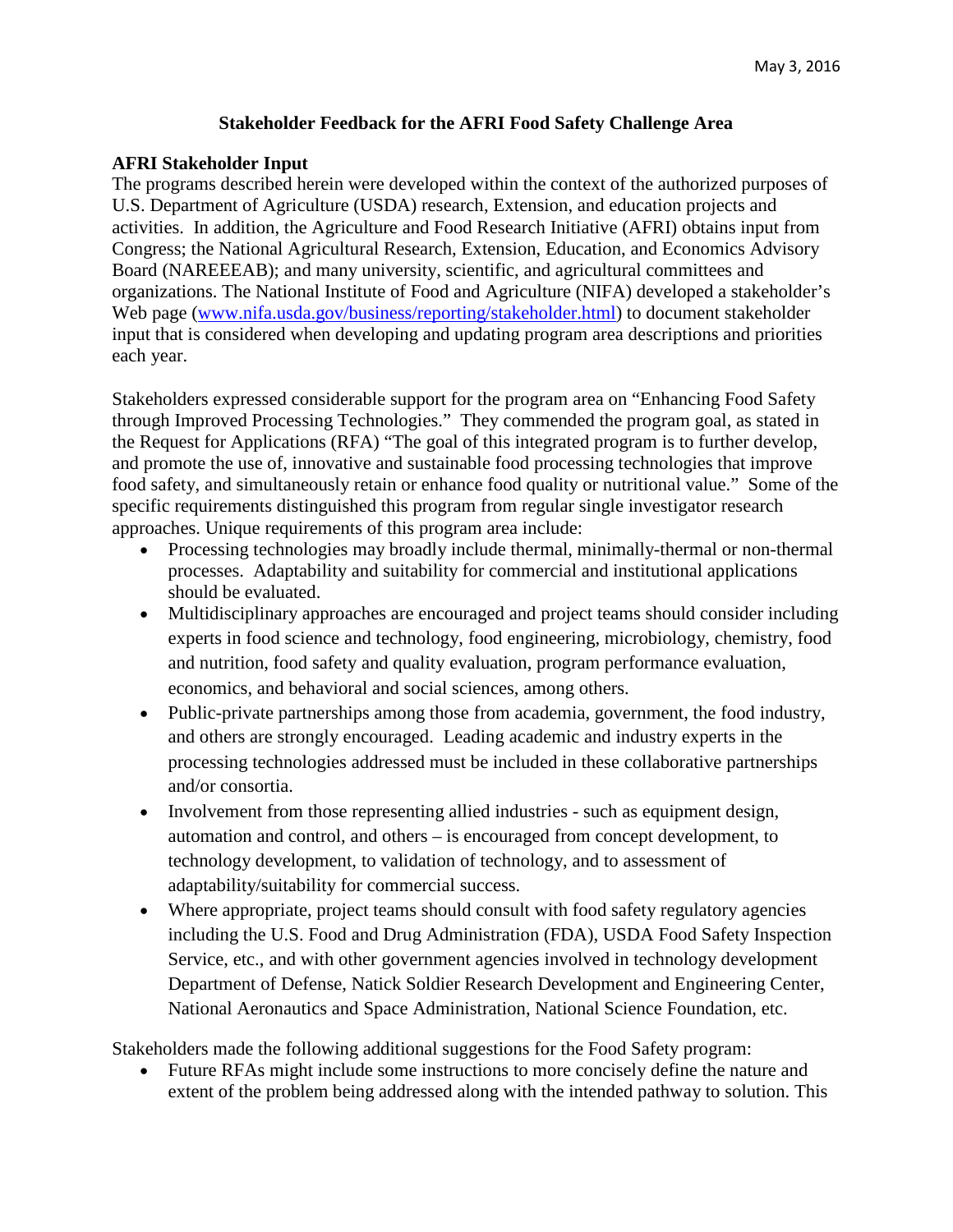## **Stakeholder Feedback for the AFRI Food Safety Challenge Area**

## **AFRI Stakeholder Input**

The programs described herein were developed within the context of the authorized purposes of U.S. Department of Agriculture (USDA) research, Extension, and education projects and activities. In addition, the Agriculture and Food Research Initiative (AFRI) obtains input from Congress; the National Agricultural Research, Extension, Education, and Economics Advisory Board (NAREEEAB); and many university, scientific, and agricultural committees and organizations. The National Institute of Food and Agriculture (NIFA) developed a stakeholder's Web page [\(www.nifa.usda.gov/business/reporting/stakeholder.html\)](http://www.nifa.usda.gov/business/reporting/stakeholder.html) to document stakeholder input that is considered when developing and updating program area descriptions and priorities each year.

Stakeholders expressed considerable support for the program area on "Enhancing Food Safety through Improved Processing Technologies." They commended the program goal, as stated in the Request for Applications (RFA) "The goal of this integrated program is to further develop, and promote the use of, innovative and sustainable food processing technologies that improve food safety, and simultaneously retain or enhance food quality or nutritional value." Some of the specific requirements distinguished this program from regular single investigator research approaches. Unique requirements of this program area include:

- Processing technologies may broadly include thermal, minimally-thermal or non-thermal processes. Adaptability and suitability for commercial and institutional applications should be evaluated.
- Multidisciplinary approaches are encouraged and project teams should consider including experts in food science and technology, food engineering, microbiology, chemistry, food and nutrition, food safety and quality evaluation, program performance evaluation, economics, and behavioral and social sciences, among others.
- Public-private partnerships among those from academia, government, the food industry, and others are strongly encouraged. Leading academic and industry experts in the processing technologies addressed must be included in these collaborative partnerships and/or consortia.
- Involvement from those representing allied industries such as equipment design, automation and control, and others – is encouraged from concept development, to technology development, to validation of technology, and to assessment of adaptability/suitability for commercial success.
- Where appropriate, project teams should consult with food safety regulatory agencies including the U.S. Food and Drug Administration (FDA), USDA Food Safety Inspection Service, etc., and with other government agencies involved in technology development Department of Defense, Natick Soldier Research Development and Engineering Center, National Aeronautics and Space Administration, National Science Foundation, etc.

Stakeholders made the following additional suggestions for the Food Safety program:

• Future RFAs might include some instructions to more concisely define the nature and extent of the problem being addressed along with the intended pathway to solution. This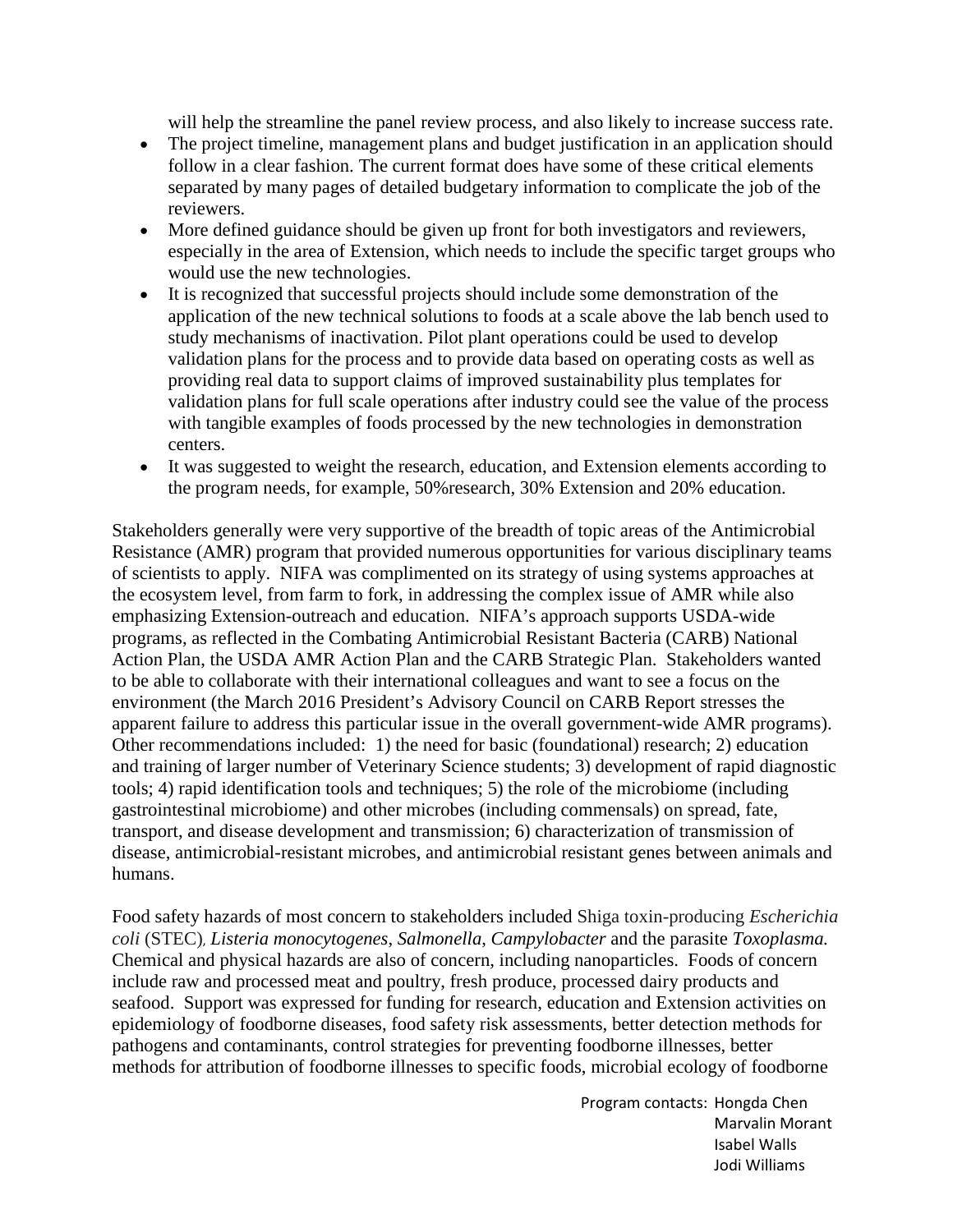will help the streamline the panel review process, and also likely to increase success rate.

- The project timeline, management plans and budget justification in an application should follow in a clear fashion. The current format does have some of these critical elements separated by many pages of detailed budgetary information to complicate the job of the reviewers.
- More defined guidance should be given up front for both investigators and reviewers, especially in the area of Extension, which needs to include the specific target groups who would use the new technologies.
- It is recognized that successful projects should include some demonstration of the application of the new technical solutions to foods at a scale above the lab bench used to study mechanisms of inactivation. Pilot plant operations could be used to develop validation plans for the process and to provide data based on operating costs as well as providing real data to support claims of improved sustainability plus templates for validation plans for full scale operations after industry could see the value of the process with tangible examples of foods processed by the new technologies in demonstration centers.
- It was suggested to weight the research, education, and Extension elements according to the program needs, for example, 50%research, 30% Extension and 20% education.

Stakeholders generally were very supportive of the breadth of topic areas of the Antimicrobial Resistance (AMR) program that provided numerous opportunities for various disciplinary teams of scientists to apply. NIFA was complimented on its strategy of using systems approaches at the ecosystem level, from farm to fork, in addressing the complex issue of AMR while also emphasizing Extension-outreach and education. NIFA's approach supports USDA-wide programs, as reflected in the Combating Antimicrobial Resistant Bacteria (CARB) National Action Plan, the USDA AMR Action Plan and the CARB Strategic Plan. Stakeholders wanted to be able to collaborate with their international colleagues and want to see a focus on the environment (the March 2016 President's Advisory Council on CARB Report stresses the apparent failure to address this particular issue in the overall government-wide AMR programs). Other recommendations included: 1) the need for basic (foundational) research; 2) education and training of larger number of Veterinary Science students; 3) development of rapid diagnostic tools; 4) rapid identification tools and techniques; 5) the role of the microbiome (including gastrointestinal microbiome) and other microbes (including commensals) on spread, fate, transport, and disease development and transmission; 6) characterization of transmission of disease, antimicrobial-resistant microbes, and antimicrobial resistant genes between animals and humans.

Food safety hazards of most concern to stakeholders included Shiga toxin-producing *Escherichia coli* (STEC), *Listeria monocytogenes*, *Salmonella*, *Campylobacter* and the parasite *Toxoplasma.* Chemical and physical hazards are also of concern, including nanoparticles. Foods of concern include raw and processed meat and poultry, fresh produce, processed dairy products and seafood. Support was expressed for funding for research, education and Extension activities on epidemiology of foodborne diseases, food safety risk assessments, better detection methods for pathogens and contaminants, control strategies for preventing foodborne illnesses, better methods for attribution of foodborne illnesses to specific foods, microbial ecology of foodborne

> Program contacts: Hongda Chen Marvalin Morant Isabel Walls Jodi Williams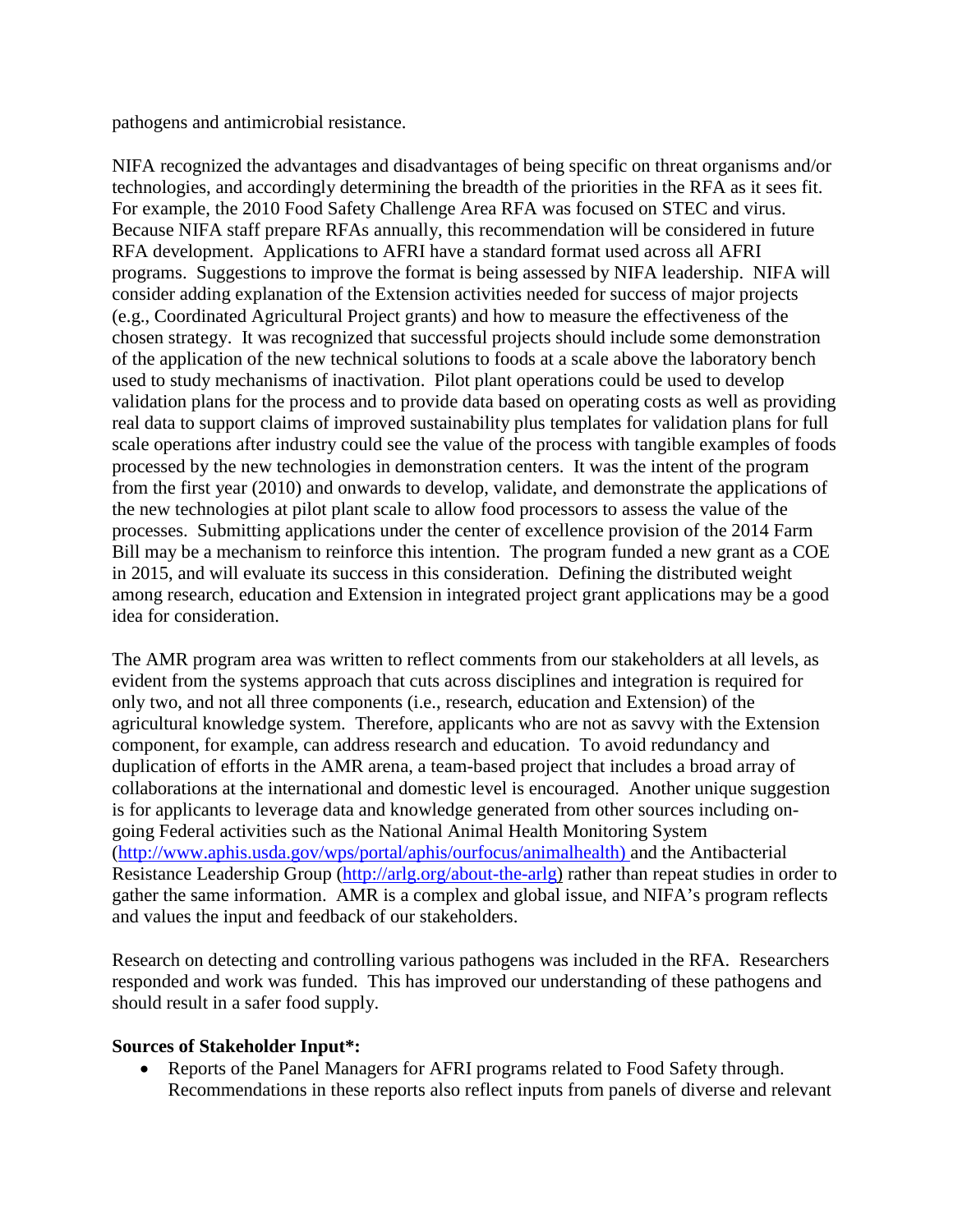pathogens and antimicrobial resistance.

NIFA recognized the advantages and disadvantages of being specific on threat organisms and/or technologies, and accordingly determining the breadth of the priorities in the RFA as it sees fit. For example, the 2010 Food Safety Challenge Area RFA was focused on STEC and virus. Because NIFA staff prepare RFAs annually, this recommendation will be considered in future RFA development. Applications to AFRI have a standard format used across all AFRI programs. Suggestions to improve the format is being assessed by NIFA leadership. NIFA will consider adding explanation of the Extension activities needed for success of major projects (e.g., Coordinated Agricultural Project grants) and how to measure the effectiveness of the chosen strategy. It was recognized that successful projects should include some demonstration of the application of the new technical solutions to foods at a scale above the laboratory bench used to study mechanisms of inactivation. Pilot plant operations could be used to develop validation plans for the process and to provide data based on operating costs as well as providing real data to support claims of improved sustainability plus templates for validation plans for full scale operations after industry could see the value of the process with tangible examples of foods processed by the new technologies in demonstration centers. It was the intent of the program from the first year (2010) and onwards to develop, validate, and demonstrate the applications of the new technologies at pilot plant scale to allow food processors to assess the value of the processes. Submitting applications under the center of excellence provision of the 2014 Farm Bill may be a mechanism to reinforce this intention. The program funded a new grant as a COE in 2015, and will evaluate its success in this consideration. Defining the distributed weight among research, education and Extension in integrated project grant applications may be a good idea for consideration.

The AMR program area was written to reflect comments from our stakeholders at all levels, as evident from the systems approach that cuts across disciplines and integration is required for only two, and not all three components (i.e., research, education and Extension) of the agricultural knowledge system. Therefore, applicants who are not as savvy with the Extension component, for example, can address research and education. To avoid redundancy and duplication of efforts in the AMR arena, a team-based project that includes a broad array of collaborations at the international and domestic level is encouraged. Another unique suggestion is for applicants to leverage data and knowledge generated from other sources including ongoing Federal activities such as the National Animal Health Monitoring System [\(http://www.aphis.usda.gov/wps/portal/aphis/ourfocus/animalhealth\)](http://www.aphis.usda.gov/wps/portal/aphis/ourfocus/animalhealth) and the Antibacterial Resistance Leadership Group [\(http://arlg.org/about-the-arlg\)](http://arlg.org/about-the-arlg) rather than repeat studies in order to gather the same information. AMR is a complex and global issue, and NIFA's program reflects and values the input and feedback of our stakeholders.

Research on detecting and controlling various pathogens was included in the RFA. Researchers responded and work was funded. This has improved our understanding of these pathogens and should result in a safer food supply.

## **Sources of Stakeholder Input\*:**

• Reports of the Panel Managers for AFRI programs related to Food Safety through. Recommendations in these reports also reflect inputs from panels of diverse and relevant